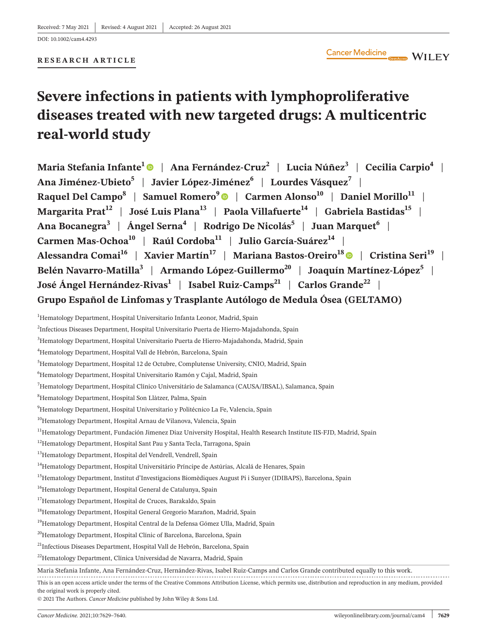**RESEARCH ARTICLE**

# **Severe infections in patients with lymphoproliferative diseases treated with new targeted drugs: A multicentric real-world study**

**Maria Stefania Infante[1](https://orcid.org/0000-0003-0096-9359)** | **Ana Fernández-Cruz2** | **Lucia Núñez3** | **Cecilia Carpio4** | **Ana Jiménez-Ubieto<sup>5</sup>** | **Javier López-Jiménez6** | **Lourdes Vásquez7** | **Raquel Del Campo<sup>8</sup> | Samuel Romero<sup>9</sup> | Carmen Alonso<sup>10</sup> | Daniel Morillo<sup>11</sup> | Margarita Prat<sup>12</sup> | José Luis Plana<sup>13</sup> | Paola Villafuerte<sup>14</sup> | Gabriela Bastidas<sup>15</sup> | Ana Bocanegra<sup>3</sup>** | **Ángel Serna<sup>4</sup>** | **Rodrigo De Nicolás5** | **Juan Marquet6** | **Carmen Mas-Ochoa<sup>10</sup>** | **Raúl Cordoba<sup>11</sup>** | **Julio García-Suárez14** | Alessandra Comai<sup>16</sup> | Xavier Martín<sup>17</sup> | Mariana Bastos-Oreiro<sup>18</sup> | Cristina Seri<sup>19</sup> | **Belén Navarro-Matilla<sup>3</sup> | Armando López-Guillermo<sup>20</sup> | Joaquín Martínez-López<sup>5</sup> | José Ángel Hernández-Rivas<sup>1</sup> | Isabel Ruiz-Camps<sup>21</sup> | Carlos Grande<sup>22</sup> | Grupo Español de Linfomas y Trasplante Autólogo de Medula Ósea (GELTAMO)**

 $^1$ Hematology Department, Hospital Universitario Infanta Leonor, Madrid, Spain

```
<sup>2</sup>Infectious Diseases Department, Hospital Universitario Puerta de Hierro-Majadahonda, Spain
```

```
<sup>3</sup>Hematology Department, Hospital Universitario Puerta de Hierro-Majadahonda, Madrid, Spain
```
4 Hematology Department, Hospital Vall de Hebrón, Barcelona, Spain

© 2021 The Authors. *Cancer Medicine* published by John Wiley & Sons Ltd.

<sup>5</sup> Hematology Department, Hospital 12 de Octubre, Complutense University, CNIO, Madrid, Spain

<sup>6</sup> Hematology Department, Hospital Universitario Ramón y Cajal, Madrid, Spain

 $^7$ Hematology Department, Hospital Clínico Universitário de Salamanca (CAUSA/IBSAL), Salamanca, Spain

<sup>8</sup> Hematology Department, Hospital Son Llàtzer, Palma, Spain

<sup>&</sup>lt;sup>9</sup>Hematology Department, Hospital Universitario y Politécnico La Fe, Valencia, Spain

<sup>&</sup>lt;sup>10</sup>Hematology Department, Hospital Arnau de Vilanova, Valencia, Spain

<sup>&</sup>lt;sup>11</sup>Hematology Department, Fundación Jimenez Diaz University Hospital, Health Research Institute IIS-FJD, Madrid, Spain

<sup>&</sup>lt;sup>12</sup>Hematology Department, Hospital Sant Pau y Santa Tecla, Tarragona, Spain

<sup>&</sup>lt;sup>13</sup>Hematology Department, Hospital del Vendrell, Vendrell, Spain

<sup>&</sup>lt;sup>14</sup>Hematology Department, Hospital Universitário Príncipe de Astúrias, Alcalá de Henares, Spain

<sup>&</sup>lt;sup>15</sup>Hematology Department, Institut d'Investigacions Biomèdiques August Pi i Sunyer (IDIBAPS), Barcelona, Spain

<sup>&</sup>lt;sup>16</sup>Hematology Department, Hospital General de Catalunya, Spain

<sup>&</sup>lt;sup>17</sup>Hematology Department, Hospital de Cruces, Barakaldo, Spain

<sup>&</sup>lt;sup>18</sup>Hematology Department, Hospital General Gregorio Marañon, Madrid, Spain

<sup>&</sup>lt;sup>19</sup>Hematology Department, Hospital Central de la Defensa Gómez Ulla, Madrid, Spain

<sup>&</sup>lt;sup>20</sup>Hematology Department, Hospital Clínic of Barcelona, Barcelona, Spain

<sup>&</sup>lt;sup>21</sup>Infectious Diseases Department, Hospital Vall de Hebrón, Barcelona, Spain

<sup>&</sup>lt;sup>22</sup>Hematology Department, Clínica Universidad de Navarra, Madrid, Spain

Maria Stefania Infante, Ana Fernández-Cruz, Hernández-Rivas, Isabel Ruiz-Camps and Carlos Grande contributed equally to this work.

This is an open access article under the terms of the Creative Commons [Attribution](http://creativecommons.org/licenses/by/4.0/) License, which permits use, distribution and reproduction in any medium, provided the original work is properly cited.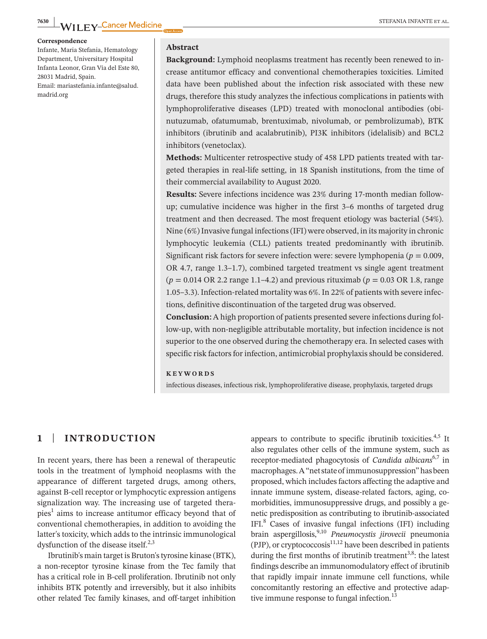#### **Correspondence**

Infante, Maria Stefania, Hematology Department, Universitary Hospital Infanta Leonor, Gran Vía del Este 80, 28031 Madrid, Spain. Email: [mariastefania.infante@salud.](mailto:mariastefania.infante@salud.madrid.org) [madrid.org](mailto:mariastefania.infante@salud.madrid.org)

#### **Abstract**

**Background:** Lymphoid neoplasms treatment has recently been renewed to increase antitumor efficacy and conventional chemotherapies toxicities. Limited data have been published about the infection risk associated with these new drugs, therefore this study analyzes the infectious complications in patients with lymphoproliferative diseases (LPD) treated with monoclonal antibodies (obinutuzumab, ofatumumab, brentuximab, nivolumab, or pembrolizumab), BTK inhibitors (ibrutinib and acalabrutinib), PI3K inhibitors (idelalisib) and BCL2 inhibitors (venetoclax).

**Methods:** Multicenter retrospective study of 458 LPD patients treated with targeted therapies in real-life setting, in 18 Spanish institutions, from the time of their commercial availability to August 2020.

**Results:** Severe infections incidence was 23% during 17-month median followup; cumulative incidence was higher in the first 3–6 months of targeted drug treatment and then decreased. The most frequent etiology was bacterial (54%). Nine (6%)Invasive fungal infections(IFI) were observed, in its majority in chronic lymphocytic leukemia (CLL) patients treated predominantly with ibrutinib. Significant risk factors for severe infection were: severe lymphopenia ( $p = 0.009$ , OR 4.7, range 1.3–1.7), combined targeted treatment vs single agent treatment (*p* = 0.014 OR 2.2 range 1.1–4.2) and previous rituximab (*p* = 0.03 OR 1.8, range 1.05–3.3). Infection-related mortality was 6%. In 22% of patients with severe infections, definitive discontinuation of the targeted drug was observed.

**Conclusion:** A high proportion of patients presented severe infections during follow-up, with non-negligible attributable mortality, but infection incidence is not superior to the one observed during the chemotherapy era. In selected cases with specific risk factors for infection, antimicrobial prophylaxis should be considered.

#### **KEYWORDS**

infectious diseases, infectious risk, lymphoproliferative disease, prophylaxis, targeted drugs

# **1** | **INTRODUCTION**

In recent years, there has been a renewal of therapeutic tools in the treatment of lymphoid neoplasms with the appearance of different targeted drugs, among others, against B-cell receptor or lymphocytic expression antigens signalization way. The increasing use of targeted therapies<sup>1</sup> aims to increase antitumor efficacy beyond that of conventional chemotherapies, in addition to avoiding the latter's toxicity, which adds to the intrinsic immunological dysfunction of the disease itself. $2,3$ 

Ibrutinib's main target is Bruton's tyrosine kinase (BTK), a non-receptor tyrosine kinase from the Tec family that has a critical role in B-cell proliferation. Ibrutinib not only inhibits BTK potently and irreversibly, but it also inhibits other related Tec family kinases, and off-target inhibition

appears to contribute to specific ibrutinib toxicities. $4,5$  It also regulates other cells of the immune system, such as receptor-mediated phagocytosis of *Candida albicans*6,7 in macrophages.A"netstateof immunosuppression"hasbeen proposed, which includesfactors affecting the adaptive and innate immune system, disease-related factors, aging, comorbidities, immunosuppressive drugs, and possibly a genetic predisposition as contributing to ibrutinib-associated IFI.8 Cases of invasive fungal infections (IFI) including brain aspergillosis,9,10 *Pneumocystis jirovecii* pneumonia (PJP), or cryptococcosis $11,12$  have been described in patients during the first months of ibrutinib treatment<sup>3,8</sup>: the latest findings describe an immunomodulatory effect of ibrutinib that rapidly impair innate immune cell functions, while concomitantly restoring an effective and protective adaptive immune response to fungal infection.<sup>13</sup>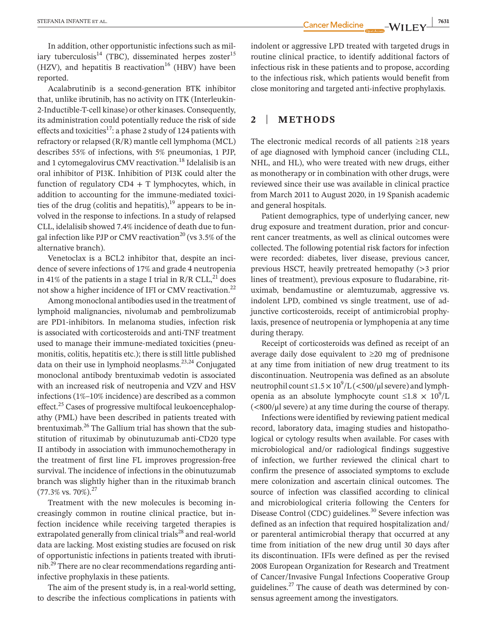In addition, other opportunistic infections such as miliary tuberculosis<sup>14</sup> (TBC), disseminated herpes zoster<sup>15</sup> (HZV), and hepatitis B reactivation<sup>16</sup> (HBV) have been reported.

Acalabrutinib is a second-generation BTK inhibitor that, unlike ibrutinib, has no activity on ITK (Interleukin-2-Inductible-T-cell kinase) or other kinases. Consequently, its administration could potentially reduce the risk of side effects and toxicities<sup>17</sup>: a phase 2 study of 124 patients with refractory or relapsed (R/R) mantle cell lymphoma (MCL) describes 55% of infections, with 5% pneumonias, 1 PJP, and 1 cytomegalovirus CMV reactivation.<sup>18</sup> Idelalisib is an oral inhibitor of PI3K. Inhibition of PI3K could alter the function of regulatory  $CD4 + T$  lymphocytes, which, in addition to accounting for the immune-mediated toxicities of the drug (colitis and hepatitis), $19$  appears to be involved in the response to infections. In a study of relapsed CLL, idelalisib showed 7.4% incidence of death due to fungal infection like PJP or CMV reactivation<sup>20</sup> (vs  $3.5\%$  of the alternative branch).

Venetoclax is a BCL2 inhibitor that, despite an incidence of severe infections of 17% and grade 4 neutropenia in 41% of the patients in a stage I trial in  $R/R$  CLL,<sup>21</sup> does not show a higher incidence of IFI or CMV reactivation.<sup>22</sup>

Among monoclonal antibodies used in the treatment of lymphoid malignancies, nivolumab and pembrolizumab are PD1-inhibitors. In melanoma studies, infection risk is associated with corticosteroids and anti-TNF treatment used to manage their immune-mediated toxicities (pneumonitis, colitis, hepatitis etc.); there is still little published data on their use in lymphoid neoplasms.<sup>23,24</sup> Conjugated monoclonal antibody brentuximab vedotin is associated with an increased risk of neutropenia and VZV and HSV infections (1%–10% incidence) are described as a common effect.<sup>25</sup> Cases of progressive multifocal leukoencephalopathy (PML) have been described in patients treated with brentuximab.26 The Gallium trial has shown that the substitution of rituximab by obinutuzumab anti-CD20 type II antibody in association with immunochemotherapy in the treatment of first line FL improves progression-free survival. The incidence of infections in the obinutuzumab branch was slightly higher than in the rituximab branch  $(77.3\% \text{ vs. } 70\%).^{27}$ 

Treatment with the new molecules is becoming increasingly common in routine clinical practice, but infection incidence while receiving targeted therapies is extrapolated generally from clinical trials<sup>28</sup> and real-world data are lacking. Most existing studies are focused on risk of opportunistic infections in patients treated with ibrutinib.<sup>29</sup> There are no clear recommendations regarding antiinfective prophylaxis in these patients.

The aim of the present study is, in a real-world setting, to describe the infectious complications in patients with indolent or aggressive LPD treated with targeted drugs in routine clinical practice, to identify additional factors of infectious risk in these patients and to propose, according to the infectious risk, which patients would benefit from close monitoring and targeted anti-infective prophylaxis.

# **2** | **METHODS**

The electronic medical records of all patients ≥18 years of age diagnosed with lymphoid cancer (including CLL, NHL, and HL), who were treated with new drugs, either as monotherapy or in combination with other drugs, were reviewed since their use was available in clinical practice from March 2011 to August 2020, in 19 Spanish academic and general hospitals.

Patient demographics, type of underlying cancer, new drug exposure and treatment duration, prior and concurrent cancer treatments, as well as clinical outcomes were collected. The following potential risk factors for infection were recorded: diabetes, liver disease, previous cancer, previous HSCT, heavily pretreated hemopathy (>3 prior lines of treatment), previous exposure to fludarabine, rituximab, bendamustine or alemtuzumab, aggressive vs. indolent LPD, combined vs single treatment, use of adjunctive corticosteroids, receipt of antimicrobial prophylaxis, presence of neutropenia or lymphopenia at any time during therapy.

Receipt of corticosteroids was defined as receipt of an average daily dose equivalent to ≥20 mg of prednisone at any time from initiation of new drug treatment to its discontinuation. Neutropenia was defined as an absolute neutrophil count  $\leq 1.5 \times 10^9/L$  (<500/ $\mu$ l severe) and lymphopenia as an absolute lymphocyte count  $\leq 1.8 \times 10^9$ /L  $\left(\frac{800}{\mu}\right)$  severe) at any time during the course of therapy.

Infections were identified by reviewing patient medical record, laboratory data, imaging studies and histopathological or cytology results when available. For cases with microbiological and/or radiological findings suggestive of infection, we further reviewed the clinical chart to confirm the presence of associated symptoms to exclude mere colonization and ascertain clinical outcomes. The source of infection was classified according to clinical and microbiological criteria following the Centers for Disease Control (CDC) guidelines.<sup>30</sup> Severe infection was defined as an infection that required hospitalization and/ or parenteral antimicrobial therapy that occurred at any time from initiation of the new drug until 30 days after its discontinuation. IFIs were defined as per the revised 2008 European Organization for Research and Treatment of Cancer/Invasive Fungal Infections Cooperative Group guidelines. $^{27}$  The cause of death was determined by consensus agreement among the investigators.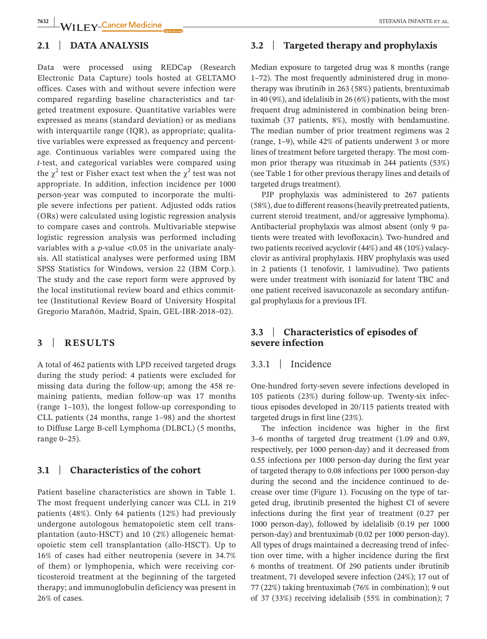### **2.1** | **DATA ANALYSIS**

Data were processed using REDCap (Research Electronic Data Capture) tools hosted at GELTAMO offices. Cases with and without severe infection were compared regarding baseline characteristics and targeted treatment exposure. Quantitative variables were expressed as means (standard deviation) or as medians with interquartile range (IQR), as appropriate; qualitative variables were expressed as frequency and percentage. Continuous variables were compared using the *t*-test, and categorical variables were compared using the  $\chi^2$  test or Fisher exact test when the  $\chi^2$  test was not appropriate. In addition, infection incidence per 1000 person-year was computed to incorporate the multiple severe infections per patient. Adjusted odds ratios (ORs) were calculated using logistic regression analysis to compare cases and controls. Multivariable stepwise logistic regression analysis was performed including variables with a *p*-value <0.05 in the univariate analysis. All statistical analyses were performed using IBM SPSS Statistics for Windows, version 22 (IBM Corp.). The study and the case report form were approved by the local institutional review board and ethics committee (Institutional Review Board of University Hospital Gregorio Marañón, Madrid, Spain, GEL-IBR-2018–02).

#### **3** | **RESULTS**

A total of 462 patients with LPD received targeted drugs during the study period: 4 patients were excluded for missing data during the follow-up; among the 458 remaining patients, median follow-up was 17 months (range 1–103), the longest follow-up corresponding to CLL patients (24 months, range 1–98) and the shortest to Diffuse Large B-cell Lymphoma (DLBCL) (5 months, range 0–25).

# **3.1** | **Characteristics of the cohort**

Patient baseline characteristics are shown in Table 1. The most frequent underlying cancer was CLL in 219 patients (48%). Only 64 patients (12%) had previously undergone autologous hematopoietic stem cell transplantation (auto-HSCT) and 10 (2%) allogeneic hematopoietic stem cell transplantation (allo-HSCT). Up to 16% of cases had either neutropenia (severe in 34.7% of them) or lymphopenia, which were receiving corticosteroid treatment at the beginning of the targeted therapy; and immunoglobulin deficiency was present in 26% of cases.

# **3.2** | **Targeted therapy and prophylaxis**

Median exposure to targeted drug was 8 months (range 1–72). The most frequently administered drug in monotherapy was ibrutinib in 263 (58%) patients, brentuximab in 40 (9%), and idelalisib in 26 (6%) patients, with the most frequent drug administered in combination being brentuximab (37 patients, 8%), mostly with bendamustine. The median number of prior treatment regimens was 2 (range, 1–9), while 42% of patients underwent 3 or more lines of treatment before targeted therapy. The most common prior therapy was rituximab in 244 patients (53%) (see Table 1 for other previous therapy lines and details of targeted drugs treatment).

PJP prophylaxis was administered to 267 patients (58%), due to different reasons (heavily pretreated patients, current steroid treatment, and/or aggressive lymphoma). Antibacterial prophylaxis was almost absent (only 9 patients were treated with levofloxacin). Two-hundred and two patients received acyclovir (44%) and 48 (10%) valacyclovir as antiviral prophylaxis. HBV prophylaxis was used in 2 patients (1 tenofovir, 1 lamivudine). Two patients were under treatment with isoniazid for latent TBC and one patient received isavuconazole as secondary antifungal prophylaxis for a previous IFI.

# **3.3** | **Characteristics of episodes of severe infection**

# 3.3.1 | Incidence

One-hundred forty-seven severe infections developed in 105 patients (23%) during follow-up. Twenty-six infectious episodes developed in 20/115 patients treated with targeted drugs in first line (23%).

The infection incidence was higher in the first 3–6 months of targeted drug treatment (1.09 and 0.89, respectively, per 1000 person-day) and it decreased from 0.55 infections per 1000 person-day during the first year of targeted therapy to 0.08 infections per 1000 person-day during the second and the incidence continued to decrease over time (Figure 1). Focusing on the type of targeted drug, ibrutinib presented the highest CI of severe infections during the first year of treatment (0.27 per 1000 person-day), followed by idelalisib (0.19 per 1000 person-day) and brentuximab (0.02 per 1000 person-day). All types of drugs maintained a decreasing trend of infection over time, with a higher incidence during the first 6 months of treatment. Of 290 patients under ibrutinib treatment, 71 developed severe infection (24%); 17 out of 77 (22%) taking brentuximab (76% in combination); 9 out of 37 (33%) receiving idelalisib (55% in combination); 7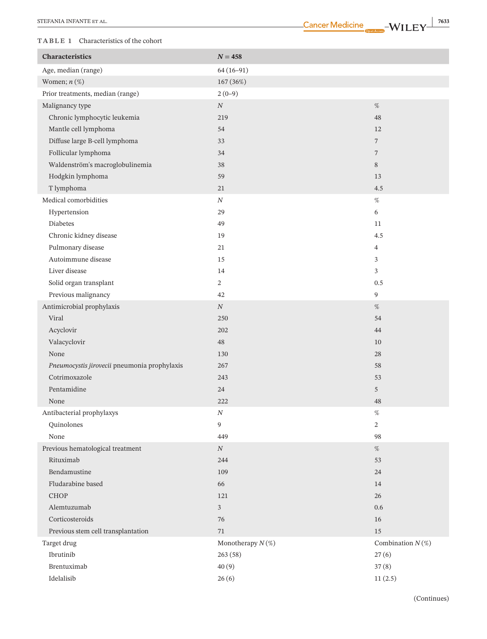|  | -Cancer Medicine |  |  |  |
|--|------------------|--|--|--|
|  |                  |  |  |  |
|  |                  |  |  |  |

| <b>TABLE 1</b> Characteristics of the cohort |                     |                     |
|----------------------------------------------|---------------------|---------------------|
| Characteristics                              | $N = 458$           |                     |
| Age, median (range)                          | $64(16-91)$         |                     |
| Women; $n$ $(\%)$                            | 167 (36%)           |                     |
| Prior treatments, median (range)             | $2(0-9)$            |                     |
| Malignancy type                              | $\cal N$            | $\%$                |
| Chronic lymphocytic leukemia                 | 219                 | 48                  |
| Mantle cell lymphoma                         | 54                  | 12                  |
| Diffuse large B-cell lymphoma                | 33                  | $\overline{7}$      |
| Follicular lymphoma                          | 34                  | $\overline{7}$      |
| Waldenström's macroglobulinemia              | 38                  | 8                   |
| Hodgkin lymphoma                             | 59                  | 13                  |
| T lymphoma                                   | 21                  | 4.5                 |
| Medical comorbidities                        | $\cal N$            | $\%$                |
| Hypertension                                 | 29                  | 6                   |
| Diabetes                                     | 49                  | 11                  |
| Chronic kidney disease                       | 19                  | 4.5                 |
| Pulmonary disease                            | 21                  | $\overline{4}$      |
| Autoimmune disease                           | 15                  | 3                   |
| Liver disease                                | 14                  | 3                   |
| Solid organ transplant                       | $\overline{2}$      | $0.5\,$             |
| Previous malignancy                          | 42                  | 9                   |
| Antimicrobial prophylaxis                    | $\cal N$            | $\%$                |
| Viral                                        | 250                 | 54                  |
| Acyclovir                                    | 202                 | 44                  |
| Valacyclovir                                 | 48                  | 10                  |
| None                                         | 130                 | 28                  |
| Pneumocystis jirovecii pneumonia prophylaxis | 267                 | 58                  |
| Cotrimoxazole                                | 243                 | 53                  |
| Pentamidine                                  | 24                  | 5                   |
| None                                         | 222                 | 48                  |
| Antibacterial prophylaxys                    | $\cal N$            | $\%$                |
| Quinolones                                   | 9                   | $\overline{c}$      |
| None                                         | 449                 | 98                  |
| Previous hematological treatment             | $\cal N$            | $\%$                |
| Rituximab                                    | 244                 | 53                  |
| Bendamustine                                 | 109                 | 24                  |
| Fludarabine based                            | 66                  | 14                  |
| CHOP                                         | 121                 | 26                  |
| Alemtuzumab                                  | $\mathfrak{Z}$      | 0.6                 |
| Corticosteroids                              | 76                  | 16                  |
| Previous stem cell transplantation           | 71                  | 15                  |
| Target drug                                  | Monotherapy $N(\%)$ | Combination $N(\%)$ |
| Ibrutinib                                    | 263(58)             | 27(6)               |
| Brentuximab                                  | 40(9)               | 37(8)               |
| Idelalisib                                   | 26(6)               | 11(2.5)             |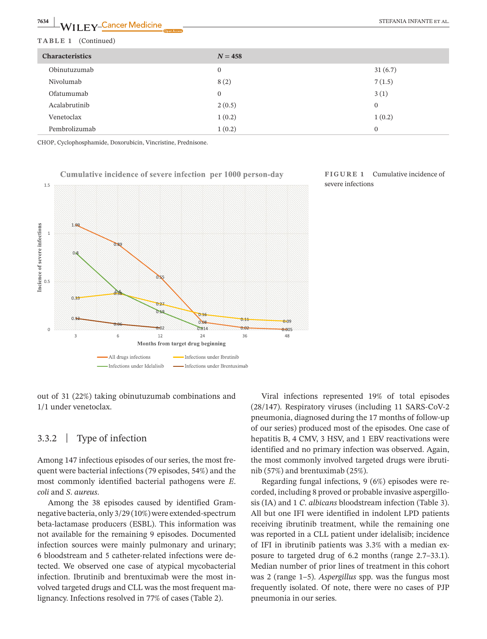| $\frac{7634}{2}$<br>LWILEY-Cancer Medicine | <b>Open Access</b> | STEFANIA INFANTE ET AL. |
|--------------------------------------------|--------------------|-------------------------|
| TABLE 1<br>(Continued)                     |                    |                         |
| <b>Characteristics</b>                     | $N = 458$          |                         |
| Obinutuzumab                               | $\overline{0}$     | 31(6.7)                 |
| Nivolumab                                  | 8(2)               | 7(1.5)                  |
| Ofatumumab                                 | $\mathbf{0}$       | 3(1)                    |
| Acalabrutinib                              | 2(0.5)             | $\mathbf{0}$            |
| Venetoclax                                 | 1(0.2)             | 1(0.2)                  |
| Pembrolizumab                              | 1(0.2)             | $\mathbf{0}$            |

CHOP, Cyclophosphamide, Doxorubicin, Vincristine, Prednisone.



#### **FIGURE 1** Cumulative incidence of severe infections

out of 31 (22%) taking obinutuzumab combinations and 1/1 under venetoclax.

# 3.3.2 | Type of infection

Among 147 infectious episodes of our series, the most frequent were bacterial infections (79 episodes, 54%) and the most commonly identified bacterial pathogens were *E*. *coli* and *S*. *aureus*.

Among the 38 episodes caused by identified Gramnegative bacteria, only 3/29 (10%) were extended-spectrum beta-lactamase producers (ESBL). This information was not available for the remaining 9 episodes. Documented infection sources were mainly pulmonary and urinary; 6 bloodstream and 5 catheter-related infections were detected. We observed one case of atypical mycobacterial infection. Ibrutinib and brentuximab were the most involved targeted drugs and CLL was the most frequent malignancy. Infections resolved in 77% of cases (Table 2).

Viral infections represented 19% of total episodes (28/147). Respiratory viruses (including 11 SARS-CoV-2 pneumonia, diagnosed during the 17 months of follow-up of our series) produced most of the episodes. One case of hepatitis B, 4 CMV, 3 HSV, and 1 EBV reactivations were identified and no primary infection was observed. Again, the most commonly involved targeted drugs were ibrutinib (57%) and brentuximab (25%).

Regarding fungal infections, 9 (6%) episodes were recorded, including 8 proved or probable invasive aspergillosis (IA) and 1 *C*. *albicans* bloodstream infection (Table 3). All but one IFI were identified in indolent LPD patients receiving ibrutinib treatment, while the remaining one was reported in a CLL patient under idelalisib; incidence of IFI in ibrutinib patients was 3.3% with a median exposure to targeted drug of 6.2 months (range 2.7–33.1). Median number of prior lines of treatment in this cohort was 2 (range 1–5). *Aspergillus* spp. was the fungus most frequently isolated. Of note, there were no cases of PJP pneumonia in our series.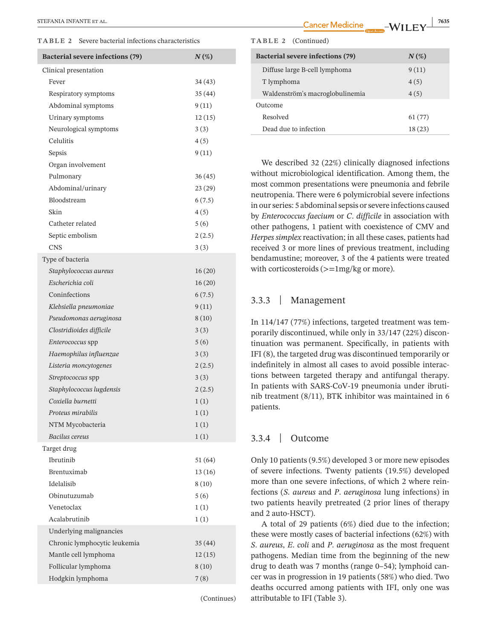**TABLE 2** Severe bacterial infections characteristics

| Bacterial severe infections (79) | $N(\%)$ |
|----------------------------------|---------|
| Clinical presentation            |         |
| Fever                            | 34(43)  |
| Respiratory symptoms             | 35(44)  |
| Abdominal symptoms               | 9(11)   |
| Urinary symptoms                 | 12(15)  |
| Neurological symptoms            | 3(3)    |
| Celulitis                        | 4(5)    |
| Sepsis                           | 9(11)   |
| Organ involvement                |         |
| Pulmonary                        | 36(45)  |
| Abdominal/urinary                | 23 (29) |
| Bloodstream                      | 6(7.5)  |
| Skin                             | 4(5)    |
| Catheter related                 | 5(6)    |
| Septic embolism                  | 2(2.5)  |
| <b>CNS</b>                       | 3(3)    |
| Type of bacteria                 |         |
| Staphylococcus aureus            | 16(20)  |
| Escherichia coli                 | 16(20)  |
| Coninfections                    | 6(7.5)  |
| Klebsiella pneumoniae            | 9(11)   |
| Pseudomonas aeruginosa           | 8(10)   |
| Clostridioides difficile         | 3(3)    |
| <i>Enterococcus</i> spp          | 5(6)    |
| Haemophilus influenzae           | 3(3)    |
| Listeria moncytogenes            | 2(2.5)  |
| Streptococcus spp                | 3(3)    |
| Staphylococcus lugdensis         | 2(2.5)  |
| Coxiella burnetti                | 1(1)    |
| Proteus mirabilis                | 1(1)    |
| NTM Mycobacteria                 | 1(1)    |
| Bacilus cereus                   | 1(1)    |
| Target drug                      |         |
| <b>Ibrutinib</b>                 | 51(64)  |
| Brentuximab                      | 13(16)  |
| Idelalisib                       | 8(10)   |
| Obinutuzumab                     | 5(6)    |
| Venetoclax                       | 1(1)    |
| Acalabrutinib                    | 1(1)    |
| Underlying malignancies          |         |
| Chronic lymphocytic leukemia     | 35(44)  |
| Mantle cell lymphoma             | 12(15)  |
| Follicular lymphoma              | 8(10)   |
| Hodgkin lymphoma                 | 7(8)    |
|                                  |         |

(Continues)

**EXTERANIA INFANTE ET AL.** THE TAL. THE STEP AND THE STEP AND THE STEP AND THE STEP AND THE STEP AND THE STEP AND THE STEP AND THE STEP AND THE STEP AND THE STEP AND THE STEP AND THE STEP AND THE STEP AND THE STEP AND THE **Bacterial severe infections (79)** *N* **(%)** Diffuse large B-cell lymphoma 9 (11)  $T$  lymphoma  $4(5)$ Waldenström's macroglobulinemia  $4(5)$ Outcome Resolved 61 (77) Dead due to infection 18 (23) **TABLE 2** (Continued)

> We described 32 (22%) clinically diagnosed infections without microbiological identification. Among them, the most common presentations were pneumonia and febrile neutropenia. There were 6 polymicrobial severe infections in our series: 5 abdominal sepsis or severe infections caused by *Enterococcus faecium* or *C*. *difficile* in association with other pathogens, 1 patient with coexistence of CMV and *Herpes simplex* reactivation; in all these cases, patients had received 3 or more lines of previous treatment, including bendamustine; moreover, 3 of the 4 patients were treated with corticosteroids  $(>=1mg/kg or more)$ .

#### 3.3.3 | Management

In 114/147 (77%) infections, targeted treatment was temporarily discontinued, while only in 33/147 (22%) discontinuation was permanent. Specifically, in patients with IFI (8), the targeted drug was discontinued temporarily or indefinitely in almost all cases to avoid possible interactions between targeted therapy and antifungal therapy. In patients with SARS-CoV-19 pneumonia under ibrutinib treatment (8/11), BTK inhibitor was maintained in 6 patients.

# 3.3.4 | Outcome

Only 10 patients (9.5%) developed 3 or more new episodes of severe infections. Twenty patients (19.5%) developed more than one severe infections, of which 2 where reinfections (*S*. *aureus* and *P*. *aeruginosa* lung infections) in two patients heavily pretreated (2 prior lines of therapy and 2 auto-HSCT).

A total of 29 patients (6%) died due to the infection; these were mostly cases of bacterial infections (62%) with *S*. *aureus*, *E*. *coli* and *P*. *aeruginosa* as the most frequent pathogens. Median time from the beginning of the new drug to death was 7 months (range 0–54); lymphoid cancer was in progression in 19 patients (58%) who died. Two deaths occurred among patients with IFI, only one was attributable to IFI (Table 3).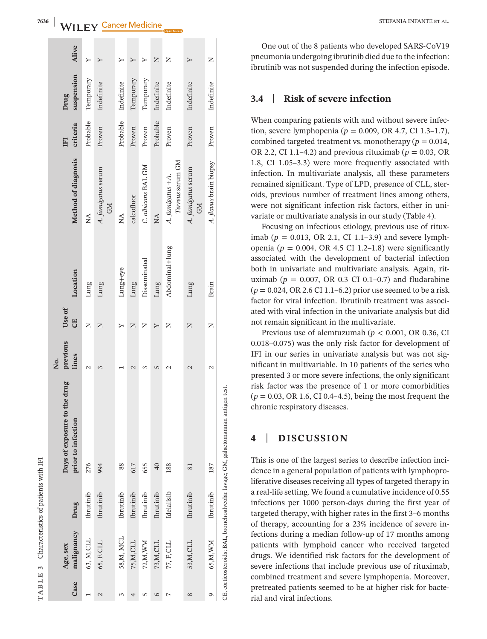| ł                                         |
|-------------------------------------------|
| l<br>֚<br>ı<br>ı<br>I                     |
| ۱<br>$\ddot{\phantom{0}}$<br>í<br>ł<br>١  |
| l<br>I<br>i<br>I<br>۱<br>l<br>j<br>֚<br>i |
| 7<br>$\epsilon$<br>۷                      |
|                                           |
| ۹<br>F<br>⊣                               |

|               | TABLE 3 Characteristics of patients with IFI |            |                                                                                   |                         |                     |                |                                      |                |                    |       |
|---------------|----------------------------------------------|------------|-----------------------------------------------------------------------------------|-------------------------|---------------------|----------------|--------------------------------------|----------------|--------------------|-------|
| Case          | malignancy<br>Age, sex                       | Drug       | Days of exposure to the drug<br>prior to infection                                | previous<br>lines<br>Ż. | Use of<br><b>UB</b> | Location       | Method of diagnosis                  | criteria<br>EI | suspension<br>Drug | Alive |
|               | 63, M, CLL                                   | Ibrutinib  | 276                                                                               | $\mathcal{L}$           | Z                   | Lung           | $\mathbb{A}^{\mathsf{A}}$            | Probable       | Temporary          |       |
| $\mathcal{C}$ | 65, F, CLL                                   | Ibrutinib  | 994                                                                               | 3                       | Z                   | Lung           | A. fumigatus serum<br><b>GM</b>      | Proven         | Indefinite         |       |
|               | 58,M, MCL                                    | Ibrutinib  | 88                                                                                |                         |                     | Lung+eye       | $\mathbb{A}^{\mathsf{A}}$            | Probable       | Indefinite         |       |
|               | 75,M,CLL                                     | Ibrutinib  | 617                                                                               |                         | Z                   | Lung           | calcofluor                           | Proven         | Temporary          |       |
|               | 72,M,WM                                      | Ibrutinib  | 655                                                                               |                         | Z                   | Disseminated   | C. albicans BAL GM                   | Proven         | Temporary          |       |
| $\circ$       | 73,M,CLL                                     | Ibrutinib  | $\overline{40}$                                                                   | 5                       | Υ                   | Lung           | $\mathbb{\AA}$                       | Probable       | Indefinite         | Z     |
|               | 77, F,CLL                                    | Idelalisib | 188                                                                               | $\mathrel{\sim}$        | z                   | Abdominal+lung | Terreus serum GM<br>A. fumigatus +A. | Proven         | Indefinite         | Z     |
| $^{\circ}$    | 53,M,CLL                                     | Ibrutinib  | 81                                                                                | $\mathcal{L}$           | Z                   | Lung           | A. fumigatus serum<br><b>CM</b>      | Proven         | Indefinite         |       |
| G             | 65,M, WM                                     | Ibrutinib  | 187                                                                               | 2                       | Z                   | Brain          | A. flavus brain biopsy               | Proven         | Indefinite         | Z     |
|               |                                              |            | CE, corticosteroids; BAL, bronchoalveolar lavage; GM, galactomannan antigen test. |                         |                     |                |                                      |                |                    |       |

One out of the 8 patients who developed SARS-CoV19 pneumonia undergoing ibrutinib died due to the infection: ibrutinib was not suspended during the infection episode.

#### **3.4** | **Risk of severe infection**

When comparing patients with and without severe infec tion, severe lymphopenia (*p* = 0.009, OR 4.7, CI 1.3–1.7), combined targeted treatment vs. monotherapy ( $p = 0.014$ , OR 2.2, CI 1.1–4.2) and previous rituximab ( $p = 0.03$ , OR 1.8, CI 1.05–3.3) were more frequently associated with infection. In multivariate analysis, all these parameters remained significant. Type of LPD, presence of CLL, ster oids, previous number of treatment lines among others, were not significant infection risk factors, either in uni variate or multivariate analysis in our study (Table 4).

Focusing on infectious etiology, previous use of ritux imab (*p* = 0.013, OR 2.1, CI 1.1–3.9) and severe lymph openia ( $p = 0.004$ , OR 4.5 CI 1.2–1.8) were significantly associated with the development of bacterial infection both in univariate and multivariate analysis. Again, rit uximab ( $p = 0.007$ , OR 0.3 CI 0.1–0.7) and fludarabine (*p* = 0.024, OR 2.6 CI 1.1–6.2) prior use seemed to be a risk factor for viral infection. Ibrutinib treatment was associated with viral infection in the univariate analysis but did not remain significant in the multivariate.

Previous use of alemtuzumab ( $p < 0.001$ , OR 0.36, CI 0.018–0.075) was the only risk factor for development of IFI in our series in univariate analysis but was not sig nificant in multivariable. In 10 patients of the series who presented 3 or more severe infections, the only significant risk factor was the presence of 1 or more comorbidities  $(p = 0.03, \text{OR } 1.6, \text{CI } 0.4-4.5)$ , being the most frequent the chronic respiratory diseases.

# **4** | **DISCUSSION**

This is one of the largest series to describe infection inci dence in a general population of patients with lymphopro liferative diseases receiving all types of targeted therapy in a real-life setting. We found a cumulative incidence of 0.55 infections per 1000 person-days during the first year of targeted therapy, with higher rates in the first 3–6 months of therapy, accounting for a 23% incidence of severe in fections during a median follow-up of 17 months among patients with lymphoid cancer who received targeted drugs. We identified risk factors for the development of severe infections that include previous use of rituximab, combined treatment and severe lymphopenia. Moreover, pretreated patients seemed to be at higher risk for bacte rial and viral infections.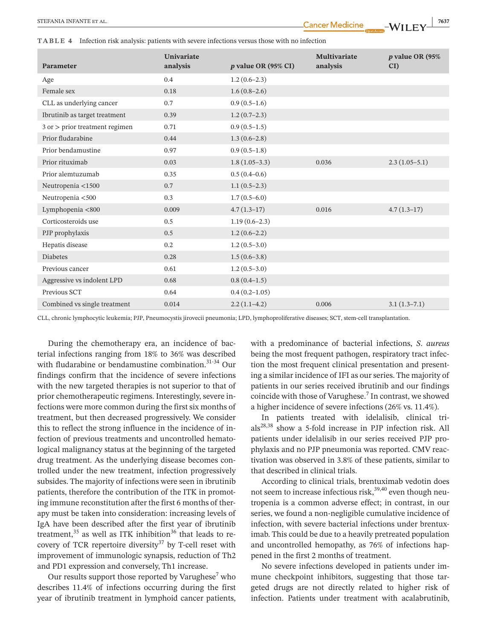**TABLE 4** Infection risk analysis: patients with severe infections versus those with no infection

| Parameter                      | Univariate<br>analysis | $p$ value OR (95% CI) | <b>Multivariate</b><br>analysis | <i>p</i> value OR (95%<br>CI) |
|--------------------------------|------------------------|-----------------------|---------------------------------|-------------------------------|
|                                |                        |                       |                                 |                               |
| Age                            | 0.4                    | $1.2(0.6-2.3)$        |                                 |                               |
| Female sex                     | 0.18                   | $1.6(0.8-2.6)$        |                                 |                               |
| CLL as underlying cancer       | 0.7                    | $0.9(0.5-1.6)$        |                                 |                               |
| Ibrutinib as target treatment  | 0.39                   | $1.2(0.7-2.3)$        |                                 |                               |
| 3 or > prior treatment regimen | 0.71                   | $0.9(0.5-1.5)$        |                                 |                               |
| Prior fludarabine              | 0.44                   | $1.3(0.6-2.8)$        |                                 |                               |
| Prior bendamustine             | 0.97                   | $0.9(0.5-1.8)$        |                                 |                               |
| Prior rituximab                | 0.03                   | $1.8(1.05-3.3)$       | 0.036                           | $2.3(1.05-5.1)$               |
| Prior alemtuzumab              | 0.35                   | $0.5(0.4-0.6)$        |                                 |                               |
| Neutropenia <1500              | 0.7                    | $1.1(0.5-2.3)$        |                                 |                               |
| Neutropenia <500               | 0.3                    | $1.7(0.5-6.0)$        |                                 |                               |
| Lymphopenia <800               | 0.009                  | $4.7(1.3-17)$         | 0.016                           | $4.7(1.3-17)$                 |
| Corticosteroids use            | 0.5                    | $1.19(0.6-2.3)$       |                                 |                               |
| PJP prophylaxis                | 0.5                    | $1.2(0.6-2.2)$        |                                 |                               |
| Hepatis disease                | 0.2                    | $1.2(0.5-3.0)$        |                                 |                               |
| <b>Diabetes</b>                | 0.28                   | $1.5(0.6-3.8)$        |                                 |                               |
| Previous cancer                | 0.61                   | $1.2(0.5-3.0)$        |                                 |                               |
| Aggressive vs indolent LPD     | 0.68                   | $0.8(0.4-1.5)$        |                                 |                               |
| Previous SCT                   | 0.64                   | $0.4(0.2 - 1.05)$     |                                 |                               |
| Combined vs single treatment   | 0.014                  | $2.2(1.1-4.2)$        | 0.006                           | $3.1(1.3-7.1)$                |

CLL, chronic lymphocytic leukemia; PJP, Pneumocystis jirovecii pneumonia; LPD, lymphoproliferative diseases; SCT, stem-cell transplantation.

During the chemotherapy era, an incidence of bacterial infections ranging from 18% to 36% was described with fludarabine or bendamustine combination.<sup>31-34</sup> Our findings confirm that the incidence of severe infections with the new targeted therapies is not superior to that of prior chemotherapeutic regimens. Interestingly, severe infections were more common during the first six months of treatment, but then decreased progressively. We consider this to reflect the strong influence in the incidence of infection of previous treatments and uncontrolled hematological malignancy status at the beginning of the targeted drug treatment. As the underlying disease becomes controlled under the new treatment, infection progressively subsides. The majority of infections were seen in ibrutinib patients, therefore the contribution of the ITK in promoting immune reconstitution after the first 6 months of therapy must be taken into consideration: increasing levels of IgA have been described after the first year of ibrutinib treatment, $35$  as well as ITK inhibition $36$  that leads to recovery of TCR repertoire diversity<sup>37</sup> by T-cell reset with improvement of immunologic synapsis, reduction of Th2 and PD1 expression and conversely, Th1 increase.

Our results support those reported by Varughese<sup>7</sup> who describes 11.4% of infections occurring during the first year of ibrutinib treatment in lymphoid cancer patients,

with a predominance of bacterial infections, *S*. *aureus* being the most frequent pathogen, respiratory tract infection the most frequent clinical presentation and presenting a similar incidence of IFI as our series. The majority of patients in our series received ibrutinib and our findings coincide with those of Varughese.<sup>7</sup> In contrast, we showed a higher incidence of severe infections (26% vs. 11.4%).

In patients treated with idelalisib, clinical trials28,38 show a 5-fold increase in PJP infection risk. All patients under idelalisib in our series received PJP prophylaxis and no PJP pneumonia was reported. CMV reactivation was observed in 3.8% of these patients, similar to that described in clinical trials.

According to clinical trials, brentuximab vedotin does not seem to increase infectious risk, $39,40$  even though neutropenia is a common adverse effect; in contrast, in our series, we found a non-negligible cumulative incidence of infection, with severe bacterial infections under brentuximab. This could be due to a heavily pretreated population and uncontrolled hemopathy, as 76% of infections happened in the first 2 months of treatment.

No severe infections developed in patients under immune checkpoint inhibitors, suggesting that those targeted drugs are not directly related to higher risk of infection. Patients under treatment with acalabrutinib,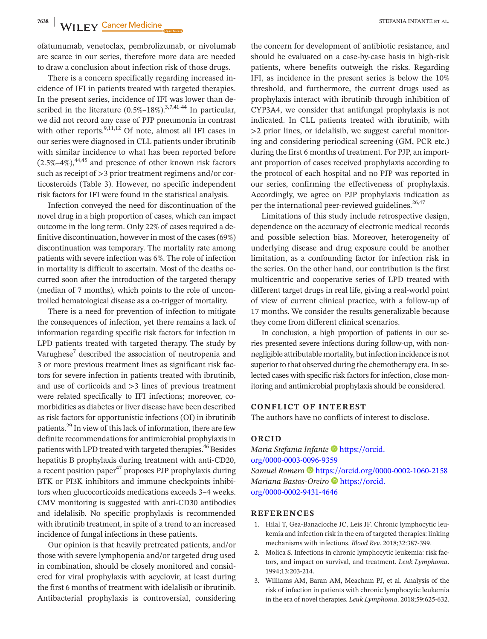**7638 WII FY-Cancer Medicine Community of the Cancer Medicine** STEFANIA INFANTE ET AL.

ofatumumab, venetoclax, pembrolizumab, or nivolumab are scarce in our series, therefore more data are needed to draw a conclusion about infection risk of those drugs.

There is a concern specifically regarding increased incidence of IFI in patients treated with targeted therapies. In the present series, incidence of IFI was lower than described in the literature  $(0.5\% - 18\%)$ <sup>3,7,41-44</sup> In particular, we did not record any case of PJP pneumonia in contrast with other reports. $9,11,12$  Of note, almost all IFI cases in our series were diagnosed in CLL patients under ibrutinib with similar incidence to what has been reported before  $(2.5\% - 4\%)$ ,<sup>44,45</sup> and presence of other known risk factors such as receipt of >3 prior treatment regimens and/or corticosteroids (Table 3). However, no specific independent risk factors for IFI were found in the statistical analysis.

Infection conveyed the need for discontinuation of the novel drug in a high proportion of cases, which can impact outcome in the long term. Only 22% of cases required a definitive discontinuation, however in most of the cases  $(69%)$ discontinuation was temporary. The mortality rate among patients with severe infection was 6%. The role of infection in mortality is difficult to ascertain. Most of the deaths occurred soon after the introduction of the targeted therapy (median of 7 months), which points to the role of uncontrolled hematological disease as a co-trigger of mortality.

There is a need for prevention of infection to mitigate the consequences of infection, yet there remains a lack of information regarding specific risk factors for infection in LPD patients treated with targeted therapy. The study by Varughese<sup>7</sup> described the association of neutropenia and 3 or more previous treatment lines as significant risk factors for severe infection in patients treated with ibrutinib, and use of corticoids and >3 lines of previous treatment were related specifically to IFI infections; moreover, comorbidities as diabetes or liver disease have been described as risk factors for opportunistic infections (OI) in ibrutinib patients.<sup>29</sup> In view of this lack of information, there are few definite recommendations for antimicrobial prophylaxis in patients with LPD treated with targeted therapies.<sup>46</sup> Besides hepatitis B prophylaxis during treatment with anti-CD20, a recent position paper $47$  proposes PJP prophylaxis during BTK or PI3K inhibitors and immune checkpoints inhibitors when glucocorticoids medications exceeds 3–4 weeks. CMV monitoring is suggested with anti-CD30 antibodies and idelalisib. No specific prophylaxis is recommended with ibrutinib treatment, in spite of a trend to an increased incidence of fungal infections in these patients.

Our opinion is that heavily pretreated patients, and/or those with severe lymphopenia and/or targeted drug used in combination, should be closely monitored and considered for viral prophylaxis with acyclovir, at least during the first 6 months of treatment with idelalisib or ibrutinib. Antibacterial prophylaxis is controversial, considering

the concern for development of antibiotic resistance, and should be evaluated on a case-by-case basis in high-risk patients, where benefits outweigh the risks. Regarding IFI, as incidence in the present series is below the 10% threshold, and furthermore, the current drugs used as prophylaxis interact with ibrutinib through inhibition of CYP3A4, we consider that antifungal prophylaxis is not indicated. In CLL patients treated with ibrutinib, with >2 prior lines, or idelalisib, we suggest careful monitoring and considering periodical screening (GM, PCR etc.) during the first 6 months of treatment. For PJP, an important proportion of cases received prophylaxis according to the protocol of each hospital and no PJP was reported in our series, confirming the effectiveness of prophylaxis. Accordingly, we agree on PJP prophylaxis indication as per the international peer-reviewed guidelines.<sup>26,47</sup>

Limitations of this study include retrospective design, dependence on the accuracy of electronic medical records and possible selection bias. Moreover, heterogeneity of underlying disease and drug exposure could be another limitation, as a confounding factor for infection risk in the series. On the other hand, our contribution is the first multicentric and cooperative series of LPD treated with different target drugs in real life, giving a real-world point of view of current clinical practice, with a follow-up of 17 months. We consider the results generalizable because they come from different clinical scenarios.

In conclusion, a high proportion of patients in our series presented severe infections during follow-up, with nonnegligible attributable mortality, but infection incidence is not superior to that observed during the chemotherapy era. In selected cases with specific risk factors for infection, close monitoring and antimicrobial prophylaxis should be considered.

#### **CONFLICT OF INTEREST**

The authors have no conflicts of interest to disclose.

#### **ORCID**

*Maria Stefania Infante* D[https://orcid.](https://orcid.org/0000-0003-0096-9359) [org/0000-0003-0096-9359](https://orcid.org/0000-0003-0096-9359) *Samuel Romero* <https://orcid.org/0000-0002-1060-2158> *Mariana Bastos-Oreiro* [https://orcid.](https://orcid.org/0000-0002-9431-4646) [org/0000-0002-9431-4646](https://orcid.org/0000-0002-9431-4646)

#### **REFERENCES**

- 1. Hilal T, Gea-Banacloche JC, Leis JF. Chronic lymphocytic leukemia and infection risk in the era of targeted therapies: linking mechanisms with infections. *Blood Rev*. 2018;32:387-399.
- 2. Molica S. Infections in chronic lymphocytic leukemia: risk factors, and impact on survival, and treatment. *Leuk Lymphoma*. 1994;13:203-214.
- 3. Williams AM, Baran AM, Meacham PJ, et al. Analysis of the risk of infection in patients with chronic lymphocytic leukemia in the era of novel therapies. *Leuk Lymphoma*. 2018;59:625-632.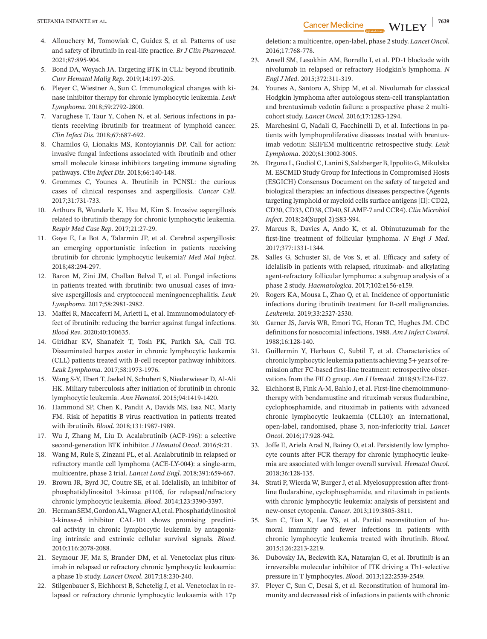- 4. Allouchery M, Tomowiak C, Guidez S, et al. Patterns of use and safety of ibrutinib in real-life practice. *Br J Clin Pharmacol*. 2021;87:895-904.
- 5. Bond DA, Woyach JA. Targeting BTK in CLL: beyond ibrutinib. *Curr Hematol Malig Rep*. 2019;14:197-205.
- 6. Pleyer C, Wiestner A, Sun C. Immunological changes with kinase inhibitor therapy for chronic lymphocytic leukemia. *Leuk Lymphoma*. 2018;59:2792-2800.
- 7. Varughese T, Taur Y, Cohen N, et al. Serious infections in patients receiving ibrutinib for treatment of lymphoid cancer. *Clin Infect Dis*. 2018;67:687-692.
- 8. Chamilos G, Lionakis MS, Kontoyiannis DP. Call for action: invasive fungal infections associated with ibrutinib and other small molecule kinase inhibitors targeting immune signaling pathways. *Clin Infect Dis*. 2018;66:140-148.
- 9. Grommes C, Younes A. Ibrutinib in PCNSL: the curious cases of clinical responses and aspergillosis. *Cancer Cell*. 2017;31:731-733.
- 10. Arthurs B, Wunderle K, Hsu M, Kim S. Invasive aspergillosis related to ibrutinib therapy for chronic lymphocytic leukemia. *Respir Med Case Rep*. 2017;21:27-29.
- 11. Gaye E, Le Bot A, Talarmin JP, et al. Cerebral aspergillosis: an emerging opportunistic infection in patients receiving ibrutinib for chronic lymphocytic leukemia? *Med Mal Infect*. 2018;48:294-297.
- 12. Baron M, Zini JM, Challan Belval T, et al. Fungal infections in patients treated with ibrutinib: two unusual cases of invasive aspergillosis and cryptococcal meningoencephalitis. *Leuk Lymphoma*. 2017;58:2981-2982.
- 13. Maffei R, Maccaferri M, Arletti L, et al. Immunomodulatory effect of ibrutinib: reducing the barrier against fungal infections. *Blood Rev*. 2020;40:100635.
- 14. Giridhar KV, Shanafelt T, Tosh PK, Parikh SA, Call TG. Disseminated herpes zoster in chronic lymphocytic leukemia (CLL) patients treated with B-cell receptor pathway inhibitors. *Leuk Lymphoma*. 2017;58:1973-1976.
- 15. Wang S-Y, Ebert T, Jaekel N, Schubert S, Niederwieser D, Al-Ali HK. Miliary tuberculosis after initiation of ibrutinib in chronic lymphocytic leukemia. *Ann Hematol*. 2015;94:1419-1420.
- 16. Hammond SP, Chen K, Pandit A, Davids MS, Issa NC, Marty FM. Risk of hepatitis B virus reactivation in patients treated with ibrutinib. *Blood*. 2018;131:1987-1989.
- 17. Wu J, Zhang M, Liu D. Acalabrutinib (ACP-196): a selective second-generation BTK inhibitor. *J Hematol Oncol*. 2016;9:21.
- 18. Wang M, Rule S, Zinzani PL, et al. Acalabrutinib in relapsed or refractory mantle cell lymphoma (ACE-LY-004): a single-arm, multicentre, phase 2 trial. *Lancet Lond Engl*. 2018;391:659-667.
- 19. Brown JR, Byrd JC, Coutre SE, et al. Idelalisib, an inhibitor of phosphatidylinositol 3-kinase p110δ, for relapsed/refractory chronic lymphocytic leukemia. *Blood*. 2014;123:3390-3397.
- 20. HermanSEM,GordonAL,WagnerAJ,etal.Phosphatidylinositol 3-kinase-δ inhibitor CAL-101 shows promising preclinical activity in chronic lymphocytic leukemia by antagonizing intrinsic and extrinsic cellular survival signals. *Blood*. 2010;116:2078-2088.
- 21. Seymour JF, Ma S, Brander DM, et al. Venetoclax plus rituximab in relapsed or refractory chronic lymphocytic leukaemia: a phase 1b study. *Lancet Oncol*. 2017;18:230-240.
- 22. Stilgenbauer S, Eichhorst B, Schetelig J, et al. Venetoclax in relapsed or refractory chronic lymphocytic leukaemia with 17p

deletion: a multicentre, open-label, phase 2 study. *Lancet Oncol*. 2016;17:768-778.

- 23. Ansell SM, Lesokhin AM, Borrello I, et al. PD-1 blockade with nivolumab in relapsed or refractory Hodgkin's lymphoma. *N Engl J Med*. 2015;372:311-319.
- 24. Younes A, Santoro A, Shipp M, et al. Nivolumab for classical Hodgkin lymphoma after autologous stem-cell transplantation and brentuximab vedotin failure: a prospective phase 2 multicohort study. *Lancet Oncol*. 2016;17:1283-1294.
- 25. Marchesini G, Nadali G, Facchinelli D, et al. Infections in patients with lymphoproliferative diseases treated with brentuximab vedotin: SEIFEM multicentric retrospective study. *Leuk Lymphoma*. 2020;61:3002-3005.
- 26. Drgona L, Gudiol C, Lanini S, Salzberger B, Ippolito G, Mikulska M. ESCMID Study Group for Infections in Compromised Hosts (ESGICH) Consensus Document on the safety of targeted and biological therapies: an infectious diseases perspective (Agents targeting lymphoid or myeloid cells surface antigens [II]: CD22, CD30, CD33, CD38, CD40, SLAMF-7 and CCR4). *Clin Microbiol Infect*. 2018;24(Suppl 2):S83-S94.
- 27. Marcus R, Davies A, Ando K, et al. Obinutuzumab for the first-line treatment of follicular lymphoma. *N Engl J Med*. 2017;377:1331-1344.
- 28. Salles G, Schuster SJ, de Vos S, et al. Efficacy and safety of idelalisib in patients with relapsed, rituximab- and alkylating agent-refractory follicular lymphoma: a subgroup analysis of a phase 2 study. *Haematologica*. 2017;102:e156-e159.
- 29. Rogers KA, Mousa L, Zhao Q, et al. Incidence of opportunistic infections during ibrutinib treatment for B-cell malignancies. *Leukemia*. 2019;33:2527-2530.
- 30. Garner JS, Jarvis WR, Emori TG, Horan TC, Hughes JM. CDC definitions for nosocomial infections, 1988. *Am J Infect Control*. 1988;16:128-140.
- 31. Guillermin Y, Herbaux C, Subtil F, et al. Characteristics of chronic lymphocytic leukemia patients achieving 5+ years of remission after FC-based first-line treatment: retrospective observations from the FILO group. *Am J Hematol*. 2018;93:E24-E27.
- 32. Eichhorst B, Fink A-M, Bahlo J, et al. First-line chemoimmunotherapy with bendamustine and rituximab versus fludarabine, cyclophosphamide, and rituximab in patients with advanced chronic lymphocytic leukaemia (CLL10): an international, open-label, randomised, phase 3, non-inferiority trial. *Lancet Oncol*. 2016;17:928-942.
- 33. Joffe E, Ariela Arad N, Bairey O, et al. Persistently low lymphocyte counts after FCR therapy for chronic lymphocytic leukemia are associated with longer overall survival. *Hematol Oncol*. 2018;36:128-135.
- 34. Strati P, Wierda W, Burger J, et al. Myelosuppression after frontline fludarabine, cyclophosphamide, and rituximab in patients with chronic lymphocytic leukemia: analysis of persistent and new-onset cytopenia. *Cancer*. 2013;119:3805-3811.
- 35. Sun C, Tian X, Lee YS, et al. Partial reconstitution of humoral immunity and fewer infections in patients with chronic lymphocytic leukemia treated with ibrutinib. *Blood*. 2015;126:2213-2219.
- 36. Dubovsky JA, Beckwith KA, Natarajan G, et al. Ibrutinib is an irreversible molecular inhibitor of ITK driving a Th1-selective pressure in T lymphocytes. *Blood*. 2013;122:2539-2549.
- 37. Pleyer C, Sun C, Desai S, et al. Reconstitution of humoral immunity and decreased risk of infectionsin patients with chronic